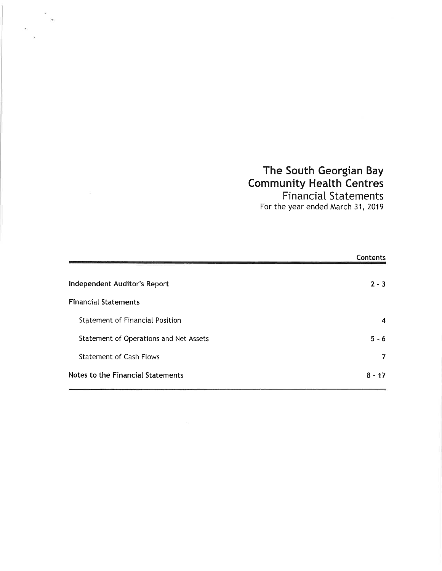### The South Georgian Bay Community Heatth Centres FinanciaI Statements

For the year ended March 31, 2019

|                                        | Contents         |
|----------------------------------------|------------------|
| Independent Auditor's Report           | $2 - 3$          |
| <b>Financial Statements</b>            |                  |
| <b>Statement of Financial Position</b> | $\boldsymbol{4}$ |
| Statement of Operations and Net Assets | $5 - 6$          |
| <b>Statement of Cash Flows</b>         | 7                |
| Notes to the Financial Statements      | $8 - 17$         |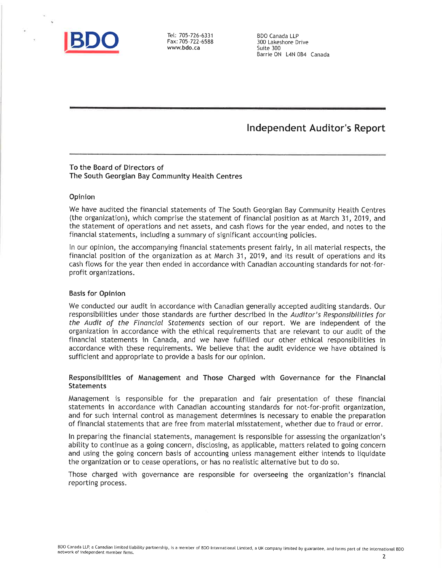

Fax:705-722-6588 wwwbdo.ca

BDO Canada LLP 300 Lakeshore Drive Suite 300 Barrie ON L4N 084 Canada

### lndependent Auditor's Report

#### To the Board of Directors of The South Georgian Bay Community Health Centres

#### Opinion

We have audited the financial statements of The South Georgian Bay Community Heatth Centres (the organization), which comprise the statement of financial position as at March 31, 2019, and the statement of operations and net assets, and cash ftows for the year ended, and notes to the financiaI statements, including a summary of significant accounting poticies.

In our opinion, the accompanying financial statements present fairly, in all material respects, the financial position of the organization as at March 31, 2019, and its result of operations and its cash ftows for the year then ended in accordance with Canadian accounting standards for not-forprofit organizations.

#### Basis for Opinion

We conducted our audit in accordance with Canadian generally accepted auditing standards. Our responsibitities under those standards are further described in the Auditor's Responsibilities for the Audit of the Financial Statements section of our report. We are independent of the organization in accordance with the ethical requirements that are retevant to our audit of the financial statements in Canada, and we have futfitted our other ethical responsibilities in accordance with these requirements. We believe that the audit evidence we have obtained is sufficient and appropriate to provide a basis for our opinion.

#### Responsibilities of Management and Those Charged with Governance for the Financial Statements

Management is responsible for the preparation and fair presentation of these financial statements in accordance with Canadian accounting standards for not-for-profit organization, and for such internal control as management determines is necessary to enable the preparation of financial statements that are free from material misstatement, whether due to fraud or error.

ln preparing the financial statements, management is responsibte for assessing the organization's abitity to continue as a going concern, disclosing, as appticabte, matters related to going concern and using the going concern basis of accounting untess management either intends to tiquidate the organization or to cease operations, or has no reatistic atternative but to do so.

Those charged with governance are responsible for overseeing the organization's financial reporting process.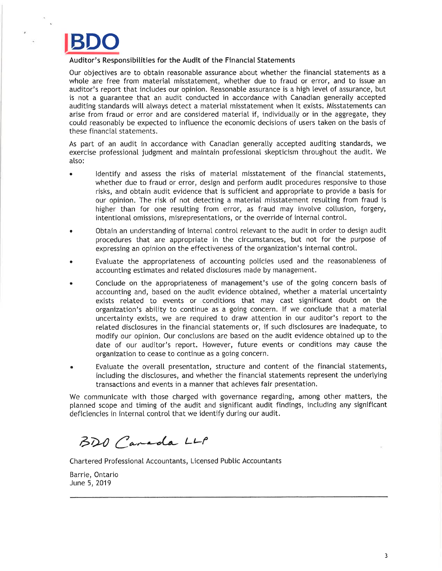# BDO

#### Auditor's Responsibilities for the Audit of the Financial Statements

Our objectives are to obtain reasonable assurance about whether the financial statements as a whole are free from material misstatement, whether due to fraud or error, and to issue an auditor's report that includes our opinion. Reasonable assurance is a high level of assurance, but is not a guarantee that an audit conducted in accordance with Canadian generally accepted auditing standards will always detect a material misstatement when it exists. Misstatements can arise from fraud or error and are considered material if, individually or in the aggregate, they coutd reasonabty be expected to influence the economic decisions of users taken on the basis of these financial statements.

As part of an audit in accordance with Canadian generatly accepted auditing standards, we exercise professional judgment and maintain professionat skepticism throughout the audit. We also:

- . ldentify and assess the risks of material misstatement of the financial statements, whether due to fraud or error, design and perform audit procedures responsive to those risks, and obtain audit evidence that is sufficient and appropriate to provide a basis for our opinion. The risk of not detecting a material misstatement resutting from fraud is higher than for one resulting from error, as fraud may involve collusion, forgery, intentional omissions, misrepresentations, or the override of internal control.
- . 0btain an understanding of internal control retevant to the audit in order to design audit procedures that are appropriate in the circumstances, but not for the purpose of expressing an opinion on the effectiveness of the organization's internal control.
- . Evatuate the appropriateness of accounting policies used and the reasonabteness of accounting estimates and related disclosures made by management.
- . Conclude on the appropriateness of management's use of the going concern basis of accounting and, based on the audit evidence obtained, whether a material uncertainty exists retated to events or conditions that may cast significant doubt on the organization's ability to continue as a going concern. If we conclude that a material uncertainty exists, we are required to draw attention in our auditor's report to the retated disclosures in the financial statements or, if such disclosures are inadequate, to modify our opinion. Our conctusions are based on the audit evidence obtained up to the date of our auditor's report. However, future events or conditions may cause the organization to cease to continue as a going concern.
- Evaluate the overall presentation, structure and content of the financial statements, including the disclosures, and whether the financial statements represent the underlying transactions and events in a manner that achieves fair presentation.

We communicate with those charged with governance regarding, among other matters, the planned scope and timing of the audit and significant audit findings, including any significant deficiencies in internal control that we identify during our audit.

BDO Canada LLP

Chartered Professional Accountants, Licensed Pubtic Accountants

Barrie, Ontario June 5, 2019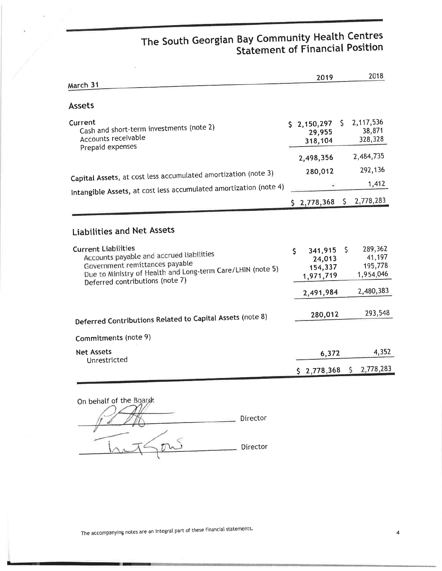### The South Georgian Bay Community Health Centres Statement of Financial Position

| March 31                                                                                                                                                                                                                                       | 2019                                                         |    | 2018                                                   |
|------------------------------------------------------------------------------------------------------------------------------------------------------------------------------------------------------------------------------------------------|--------------------------------------------------------------|----|--------------------------------------------------------|
| <b>Assets</b>                                                                                                                                                                                                                                  |                                                              |    |                                                        |
| Current<br>Cash and short-term investments (note 2)<br>Accounts receivable<br>Prepaid expenses                                                                                                                                                 | \$2,150,297<br>29,955<br>318,104                             | S. | 2,117,536<br>38,871<br>328,328                         |
|                                                                                                                                                                                                                                                | 2,498,356                                                    |    | 2,484,735                                              |
| Capital Assets, at cost less accumulated amortization (note 3)                                                                                                                                                                                 | 280,012                                                      |    | 292,136                                                |
| Intangible Assets, at cost less accumulated amortization (note 4)                                                                                                                                                                              |                                                              |    | 1,412                                                  |
|                                                                                                                                                                                                                                                |                                                              |    | $$2,778,368$$ $$2,778,283$                             |
| <b>Liabilities and Net Assets</b><br><b>Current Liabilities</b><br>Accounts payable and accrued liabilities<br>Government remittances payable<br>Due to Ministry of Health and Long-term Care/LHIN (note 5)<br>Deferred contributions (note 7) | \$<br>341,915<br>24,013<br>154,337<br>1,971,719<br>2,491,984 | \$ | 289,362<br>41,197<br>195,778<br>1,954,046<br>2,480,383 |
| Deferred Contributions Related to Capital Assets (note 8)                                                                                                                                                                                      | 280,012                                                      |    | 293,548                                                |
| Commitments (note 9)                                                                                                                                                                                                                           |                                                              |    |                                                        |
| <b>Net Assets</b><br>Unrestricted                                                                                                                                                                                                              | 6,372                                                        |    | 4,352                                                  |
|                                                                                                                                                                                                                                                | \$2,778,368                                                  |    | $5 \quad 2,778,283$                                    |

| On behalf of the Board: |          |
|-------------------------|----------|
|                         | Director |
|                         | Director |

The accompanying notes are an integral part of these financial statements.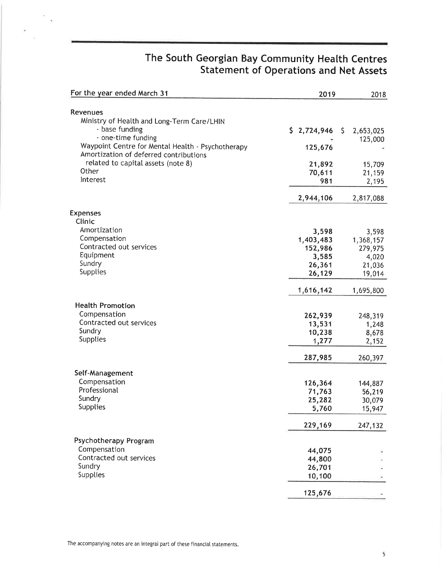## The South Georgian Bay Community Health Centres Statement of Operations and Net Assets

| For the year ended March 31                                                                                                                                                                   | 2019                                                       | 2018                                                       |
|-----------------------------------------------------------------------------------------------------------------------------------------------------------------------------------------------|------------------------------------------------------------|------------------------------------------------------------|
| Revenues<br>Ministry of Health and Long-Term Care/LHIN<br>- base funding<br>- one-time funding<br>Waypoint Centre for Mental Health - Psychotherapy<br>Amortization of deferred contributions | \$2,724,946<br>125,676                                     | $\sqrt{5}$<br>2,653,025<br>125,000                         |
| related to capital assets (note 8)<br>Other                                                                                                                                                   | 21,892<br>70,611                                           | 15,709<br>21,159                                           |
| Interest                                                                                                                                                                                      | 981                                                        | 2,195                                                      |
| <b>Expenses</b><br>Clinic                                                                                                                                                                     | 2,944,106                                                  | 2,817,088                                                  |
| Amortization<br>Compensation<br>Contracted out services<br>Equipment<br>Sundry<br><b>Supplies</b>                                                                                             | 3,598<br>1,403,483<br>152,986<br>3,585<br>26,361<br>26,129 | 3,598<br>1,368,157<br>279,975<br>4,020<br>21,036<br>19,014 |
|                                                                                                                                                                                               | 1,616,142                                                  | 1,695,800                                                  |
| <b>Health Promotion</b><br>Compensation<br>Contracted out services<br>Sundry<br>Supplies                                                                                                      | 262,939<br>13,531<br>10,238<br>1,277                       | 248,319<br>1,248<br>8,678<br>2,152                         |
|                                                                                                                                                                                               | 287,985                                                    | 260,397                                                    |
| Self-Management<br>Compensation<br>Professional<br>Sundry<br>Supplies                                                                                                                         | 126,364<br>71,763<br>25,282<br>5,760                       | 144,887<br>56,219<br>30,079<br>15,947                      |
|                                                                                                                                                                                               | 229,169                                                    | 247,132                                                    |
| Psychotherapy Program<br>Compensation<br>Contracted out services<br>Sundry<br>Supplies                                                                                                        | 44,075<br>44,800<br>26,701<br>10,100                       |                                                            |
|                                                                                                                                                                                               | 125,676                                                    |                                                            |

¥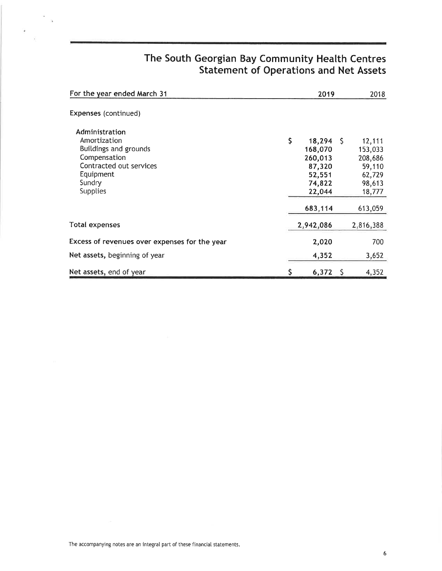### The South Georgian Bay Community Health Centres Statement of Operations and Net Assets

| For the year ended March 31                                                                                                                         |    | 2019                                                                            |      | 2018                                                                            |
|-----------------------------------------------------------------------------------------------------------------------------------------------------|----|---------------------------------------------------------------------------------|------|---------------------------------------------------------------------------------|
| Expenses (continued)                                                                                                                                |    |                                                                                 |      |                                                                                 |
| Administration<br>Amortization<br><b>Buildings and grounds</b><br>Compensation<br>Contracted out services<br>Equipment<br>Sundry<br><b>Supplies</b> | \$ | 18,294<br>168,070<br>260,013<br>87,320<br>52,551<br>74,822<br>22,044<br>683,114 | - \$ | 12,111<br>153,033<br>208,686<br>59,110<br>62,729<br>98,613<br>18,777<br>613,059 |
| Total expenses                                                                                                                                      |    | 2,942,086                                                                       |      | 2,816,388                                                                       |
| Excess of revenues over expenses for the year                                                                                                       |    | 2,020                                                                           |      | 700                                                                             |
| Net assets, beginning of year                                                                                                                       |    | 4,352                                                                           |      | 3,652                                                                           |
| Net assets, end of year                                                                                                                             | S  | 6,372                                                                           | -Ş   | 4,352                                                                           |

 $\lambda$  $\sim$ 

ä.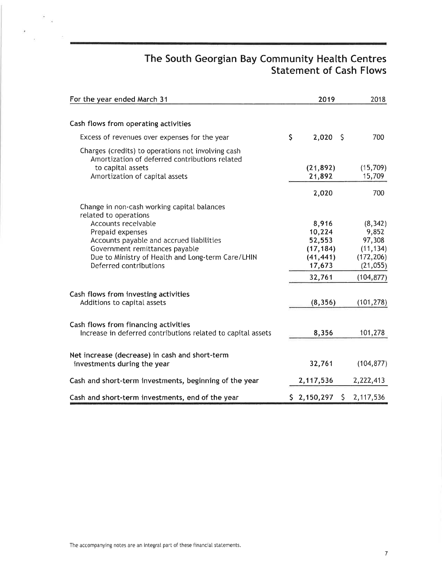### The South Georgian Bay Community Health Centres Statement of Cash Flows

| For the year ended March 31                                                                          |              | 2019               | 2018       |
|------------------------------------------------------------------------------------------------------|--------------|--------------------|------------|
| Cash flows from operating activities                                                                 |              |                    |            |
| Excess of revenues over expenses for the year                                                        | $\mathsf{S}$ | $2,020$ \$         | 700        |
| Charges (credits) to operations not involving cash<br>Amortization of deferred contributions related |              |                    |            |
| to capital assets                                                                                    |              | (21, 892)          | (15,709)   |
| Amortization of capital assets                                                                       |              | 21,892             | 15,709     |
|                                                                                                      |              | 2,020              | 700        |
| Change in non-cash working capital balances<br>related to operations                                 |              |                    |            |
| Accounts receivable                                                                                  |              | 8,916              | (8, 342)   |
| Prepaid expenses                                                                                     |              | 10,224             | 9,852      |
| Accounts payable and accrued liabilities                                                             |              | 52,553             | 97,308     |
| Government remittances payable                                                                       |              | (17, 184)          | (11, 134)  |
| Due to Ministry of Health and Long-term Care/LHIN                                                    |              | (41, 441)          | (172, 206) |
| Deferred contributions                                                                               |              | 17,673             | (21, 055)  |
|                                                                                                      |              | 32,761             | (104, 877) |
| Cash flows from investing activities                                                                 |              |                    |            |
| Additions to capital assets                                                                          |              | (8, 356)           | (101, 278) |
| Cash flows from financing activities                                                                 |              |                    |            |
| Increase in deferred contributions related to capital assets                                         |              | 8,356              | 101,278    |
| Net increase (decrease) in cash and short-term                                                       |              |                    |            |
| investments during the year                                                                          |              | 32,761             | (104, 877) |
| Cash and short-term investments, beginning of the year                                               |              | 2,117,536          | 2,222,413  |
| Cash and short-term investments, end of the year                                                     |              | \$2,150,297<br>\$. | 2,117,536  |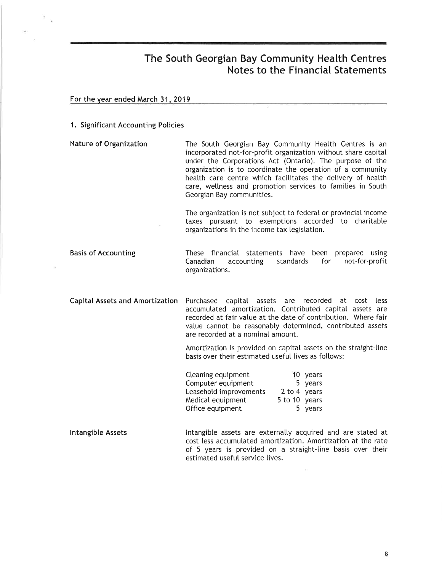For the year ended March 31, 2019

#### 1. Significant Accounting Policies

Nature of Organization The South Georgian Bay Community Heatth Centres is an incorporated not-for-profit organization without share capital under the Corporations Act (Ontario). The purpose of the organization is to coordinate the operation of a community health care centre which facilitates the delivery of health care, weltness and promotion services to famities in South Georgian Bay communities.

> The organization is not subject to federal or provincial income taxes pursuant to exemptions accorded to charitable organizations in the income tax legistation.

Basis of Accounting These financial statements have been prepared using<br>Canadian accounting standards for not-for-profit Canadian accounting standards for not-for-profit organizations.

Capital Assets and Amortization Purchased capital assets are recorded at cost less accumulated amortization. Contributed capital assets are recorded at fair value at the date of contribution. Where fair value cannot be reasonably determined, contributed assets are recorded at a nominal amount.

> Amortization is provided on capital assets on the straight-line basis over their estimated useful lives as follows:

| Cleaning equipment     |               | 10 years |
|------------------------|---------------|----------|
| Computer equipment     |               | 5 years  |
| Leasehold improvements | 2 to 4 years  |          |
| Medical equipment      | 5 to 10 years |          |
| Office equipment       |               | 5 years  |

lntangible Assets lntangible assets are externalty acquired and are stated at cost less accumulated amortization. Amortization at the rate of 5 years is provided on a straight-line basis over their estimated useful service lives.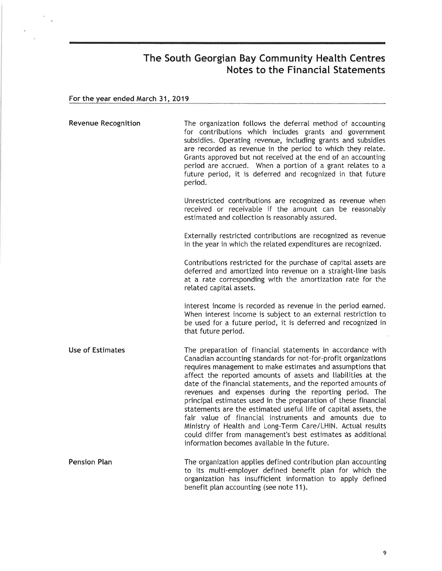### For the year ended March 31,2019

 $\alpha$  $\bar{\nu}$ 

ä,

| <b>Revenue Recognition</b> | The organization follows the deferral method of accounting<br>for contributions which includes grants and government<br>subsidies. Operating revenue, including grants and subsidies<br>are recorded as revenue in the period to which they relate.<br>Grants approved but not received at the end of an accounting<br>period are accrued. When a portion of a grant relates to a<br>future period, it is deferred and recognized in that future<br>period.                                                                                                                                                                                                                                                                                                       |
|----------------------------|-------------------------------------------------------------------------------------------------------------------------------------------------------------------------------------------------------------------------------------------------------------------------------------------------------------------------------------------------------------------------------------------------------------------------------------------------------------------------------------------------------------------------------------------------------------------------------------------------------------------------------------------------------------------------------------------------------------------------------------------------------------------|
|                            | Unrestricted contributions are recognized as revenue when<br>received or receivable if the amount can be reasonably<br>estimated and collection is reasonably assured.                                                                                                                                                                                                                                                                                                                                                                                                                                                                                                                                                                                            |
|                            | Externally restricted contributions are recognized as revenue<br>in the year in which the related expenditures are recognized.                                                                                                                                                                                                                                                                                                                                                                                                                                                                                                                                                                                                                                    |
|                            | Contributions restricted for the purchase of capital assets are<br>deferred and amortized into revenue on a straight-line basis<br>at a rate corresponding with the amortization rate for the<br>related capital assets.                                                                                                                                                                                                                                                                                                                                                                                                                                                                                                                                          |
|                            | Interest income is recorded as revenue in the period earned.<br>When interest income is subject to an external restriction to<br>be used for a future period, it is deferred and recognized in<br>that future period.                                                                                                                                                                                                                                                                                                                                                                                                                                                                                                                                             |
| <b>Use of Estimates</b>    | The preparation of financial statements in accordance with<br>Canadian accounting standards for not-for-profit organizations<br>requires management to make estimates and assumptions that<br>affect the reported amounts of assets and liabilities at the<br>date of the financial statements, and the reported amounts of<br>revenues and expenses during the reporting period. The<br>principal estimates used in the preparation of these financial<br>statements are the estimated useful life of capital assets, the<br>fair value of financial instruments and amounts due to<br>Ministry of Health and Long-Term Care/LHIN. Actual results<br>could differ from management's best estimates as additional<br>information becomes available in the future. |
| <b>Pension Plan</b>        | The organization applies defined contribution plan accounting<br>to its multi-employer defined benefit plan for which the<br>organization has insufficient information to apply defined                                                                                                                                                                                                                                                                                                                                                                                                                                                                                                                                                                           |

benefit plan accounting (see note 11)<mark>.</mark>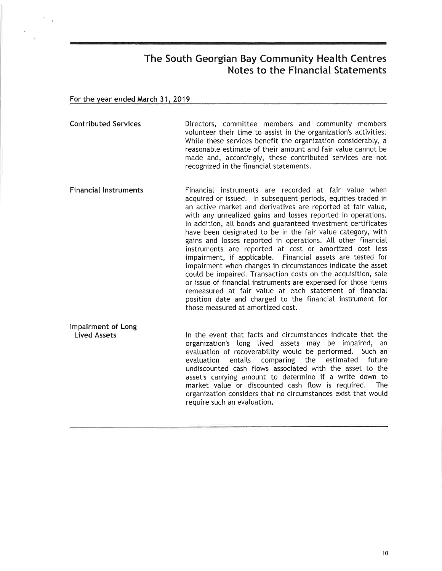For the year ended March 31, 2019

Contributed Services Directors, committee members and community members volunteer their time to assist in the organization's activities. While these services benefit the organization considerably, a reasonable estimate of their amount and fair value cannot be made and, accordingly, these contributed services are not recognized in the financial statements.

Financial lnstruments Financial instruments are recorded at fair vatue when acquired or issued. ln subsequent periods, equities traded in an active market and derivatives are reported at fair value, with any unrealized gains and losses reported in operations. ln addition, atl bonds and guaranteed investment certificates have been designated to be in the fair value category, with gains and losses reported in operations. All other financial instruments are reported at cost or amortized cost less impairment, if applicable. Financial assets are tested for impairment when changes in circumstances indicate the asset coutd be impaired. Transaction costs on the acquisition, sate or issue of financial instruments are expensed for those items remeasured at fair value at each statement of financial position date and charged to the financial instrument for those measured at amortized cost.

lmpairment of Long Lived Assets ln the event that facts and circumstances indicate that the organization's long tived assets may be impaired, an evaluation of recoverability would be performed. Such an<br>evaluation entails comparing the estimated future evatuation entaits comparing the estimated future undiscounted cash ftows associated with the asset to the asset's carrying amount to determine if a write down to market value or discounted cash flow is required. The market value or discounted cash flow is required. organization considers that no circumstances exist that woutd require such an evaluation.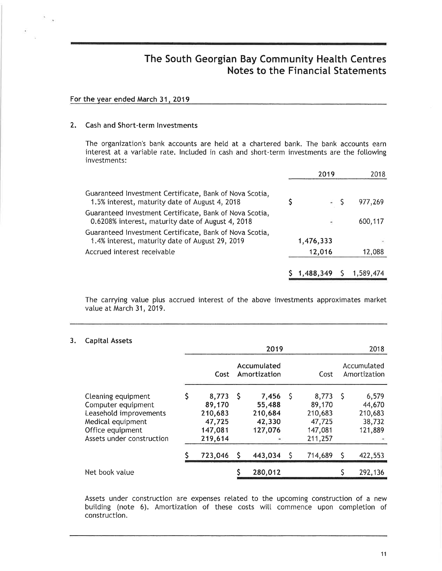#### For the year ended March 31, 2019

#### 2, Cash and Short-term lnvestments

The organization's bank accounts are hetd at a chartered bank. The bank accounts earn interest at a variable rate. Included in cash and short-term investments are the following investments:

|                                                                                                              | 2019                     | 2018      |
|--------------------------------------------------------------------------------------------------------------|--------------------------|-----------|
| Guaranteed Investment Certificate, Bank of Nova Scotia,<br>1.5% interest, maturity date of August 4, 2018    |                          | 977,269   |
| Guaranteed Investment Certificate, Bank of Nova Scotia,<br>0.6208% interest, maturity date of August 4, 2018 | $\overline{\phantom{a}}$ | 600,117   |
| Guaranteed Investment Certificate, Bank of Nova Scotia,<br>1.4% interest, maturity date of August 29, 2019   | 1,476,333                |           |
| Accrued interest receivable                                                                                  | 12,016                   | 12,088    |
|                                                                                                              | $1,488,349$ \$           | 1,589,474 |

The carrying value plus accrued interest of the above investments approximates market value at March 31, 2019.

#### 3. Capital Assets

|                                                                                                                                          | 2019 |                                                            |     |                                                 | 2018 |                                                            |    |                                                 |
|------------------------------------------------------------------------------------------------------------------------------------------|------|------------------------------------------------------------|-----|-------------------------------------------------|------|------------------------------------------------------------|----|-------------------------------------------------|
|                                                                                                                                          |      | Cost                                                       |     | Accumulated<br>Amortization                     |      | Cost                                                       |    | Accumulated<br>Amortization                     |
| Cleaning equipment<br>Computer equipment<br>Leasehold improvements<br>Medical equipment<br>Office equipment<br>Assets under construction |      | 8,773<br>89,170<br>210,683<br>47,725<br>147,081<br>219,614 | - S | 7,456<br>55,488<br>210,684<br>42,330<br>127,076 | -S   | 8,773<br>89,170<br>210,683<br>47,725<br>147,081<br>211,257 | -S | 6,579<br>44,670<br>210,683<br>38,732<br>121,889 |
|                                                                                                                                          |      | 723,046                                                    | S   | 443,034                                         |      | 714,689                                                    | Ş  | 422,553                                         |
| Net book value                                                                                                                           |      |                                                            |     | 280,012                                         |      |                                                            |    | 292,136                                         |

Assets under construction are expenses related to the upcoming construction of a new building (note 6). Amortization of these costs will commence upon completion of construction.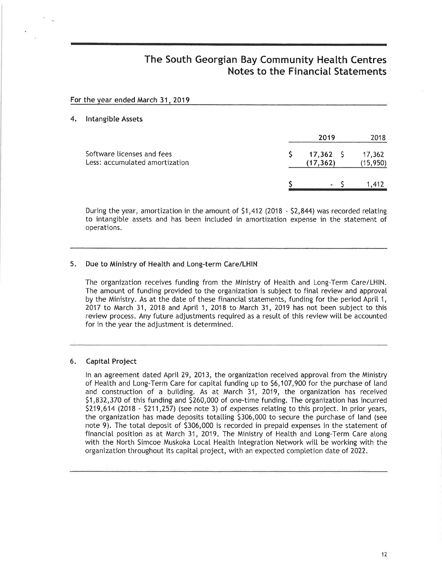|    | For the year ended March 31, 2019                            |                             |                     |
|----|--------------------------------------------------------------|-----------------------------|---------------------|
| 4. | <b>Intangible Assets</b>                                     |                             |                     |
|    |                                                              | 2019                        | 2018                |
|    | Software licenses and fees<br>Less: accumulated amortization | $17,362 \quad$<br>(17, 362) | 17,362<br>(15, 950) |
|    |                                                              | = ऽ                         | 1,412               |

During the year, amortization in the amount of 51,412 (2018 - 52,844) was recorded relating to intangibte assets and has been included in amortization expense in the statement of operations.

#### 5. Due to Ministry of Health and Long-term Care/LHIN

The organization receives funding from the Ministry of Health and Long-Term Care/LHlN. The amount of funding provided to the organization is subject to final review and approval by the Ministry. As at the date of these financial statements, funding for the period April 1,  $2017$  to March 31,  $2018$  and April 1,  $2018$  to March 31,  $2019$  has not been subject to this review process. Any future adjustments required as a resutt of this review witt be accounted for in the year the adjustment is determined.

#### 6. Capital Project

In an agreement dated April 29, 2013, the organization received approval from the Ministry of Health and Long-Term Care for capital funding up to \$6,107,900 for the purchase of land and construction of a buitding. As at March 31, 2019, the organization has received 51,832,370 of this funding and \$260,000 of one-time funding. The organization has incurred 5219,614 (2018 - 5211,257) (see note 3) of expenses retating to this project. ln prior years, the organization has made deposits totatting 5306,000 to secure the purchase of land (see note 9). The totat deposit of \$306,000 is recorded in prepaid expenses in the statement of financial position as at March 31, 2019. The Ministry of Health and Long-Term Care along with the North Simcoe Muskoka Local Health Integration Network will be working with the organization throughout its capital project, with an expected completion date of 2022.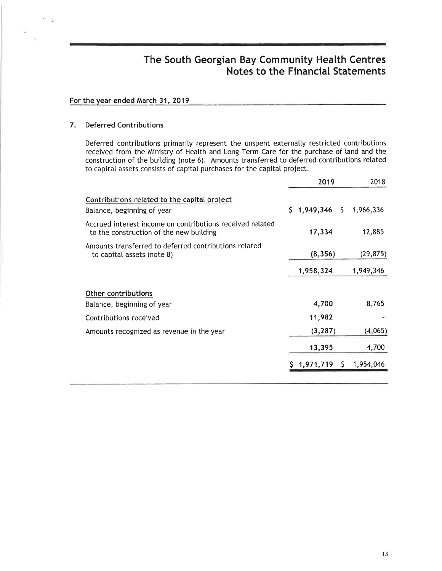#### For the year ended March 31,2019

#### 7. Deferred Contributions

Deferred contributions primarily represent the unspent externally restricted contributions received from the Ministry of Heatth and Long Term Care for the purchase of land and the construction of the buitding (note 6). Amounts transferred to deferred contributions related to capitat assets consists of capital purchases for the capital project.

|                                                                                                      | 2019                          | 2018      |
|------------------------------------------------------------------------------------------------------|-------------------------------|-----------|
| Contributions related to the capital project<br>Balance, beginning of year                           | $$1,949,346 \quad $1,966,336$ |           |
| Accrued interest income on contributions received related<br>to the construction of the new building | 17,334                        | 12,885    |
| Amounts transferred to deferred contributions related<br>to capital assets (note 8)                  | (8,356)                       | (29, 875) |
|                                                                                                      | 1,958,324                     | 1,949,346 |
| Other contributions                                                                                  |                               |           |
| Balance, beginning of year                                                                           | 4,700                         | 8,765     |
| Contributions received                                                                               | 11,982                        | $1.46 -$  |
| Amounts recognized as revenue in the year                                                            | (3, 287)                      | (4,065)   |
|                                                                                                      | 13,395                        | 4,700     |
|                                                                                                      | 1,971,719<br>S.               | 1,954,046 |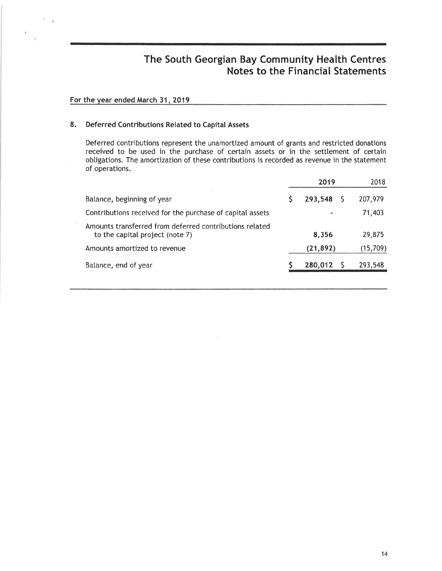#### For the year ended March 31, 2019

#### 8. Deferred Contributions Related to Capital Assets

Deferred contributions represent the unamortized amount of grants and restricted donations received to be used in the purchase of certain assets or in the settlement of certain obligations. The amortization of these contributions is recorded as revenue in the statement of operations.

|                                                                                            | 2019      |  | 2018      |
|--------------------------------------------------------------------------------------------|-----------|--|-----------|
| Balance, beginning of year                                                                 | 293,548   |  | 207,979   |
| Contributions received for the purchase of capital assets                                  |           |  | 71,403    |
| Amounts transferred from deferred contributions related<br>to the capital project (note 7) | 8,356     |  | 29,875    |
| Amounts amortized to revenue                                                               | (21, 892) |  | (15, 709) |
| Balance, end of year                                                                       | 280,012   |  | 293,548   |
|                                                                                            |           |  |           |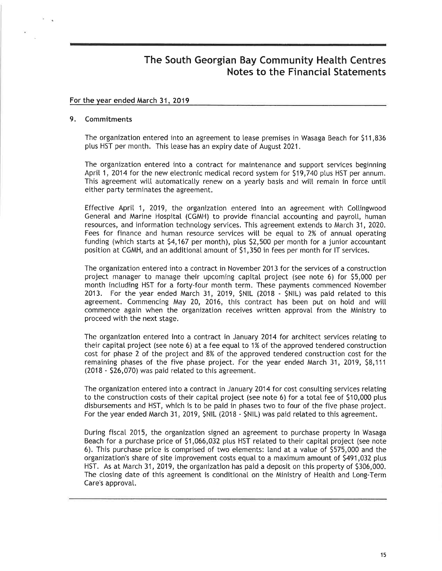#### For the year ended March 31, 2019

#### 9. Commitments

The organization entered into an agreement to lease premises in Wasaga Beach for 511,836 ptus HST per month. This lease has an expiry date of August 2021.

The organization entered into a contract for maintenance and support services beginning April 1, 2014 for the new electronic medical record system for \$19,740 plus HST per annum. This agreement will automatically renew on a yearly basis and will remain in force until either party terminates the agreement.

Effective Aprit 1, 2019, the organization entered into an agreement with Cottingwood General and Marine Hospital (CGMH) to provide financial accounting and payroll, human resources, and information technology services. This agreement extends to March 31, 2020. Fees for finance and human resource services witt be equal to 2% of annual operating funding (which starts at \$4,167 per month), plus \$2,500 per month for a junior accountant position at CGMH, and an additional amount of \$1,350 in fees per month for IT services.

The organization entered into a contract in November 2013 for the services of a construction project manager to manage their upcoming capital project (see note 6) for 55,000 per month inctuding HST for a forty-four month term. These payments commenced November 2013. For the year ended March 31,2019, SNIL (2018 - SNIL) was paid retated to this agreement. Commencing May 20, 2016, this contract has been put on hotd and witt commence again when the organization receives written approval from the Ministry to proceed with the next stage.

The organization entered into a contract in January 2014 for architect services retating to their capital project (see note 6) at a fee equal to 1% of the approved tendered construction cost for phase 2 of the project and 8% of the approved tendered construction cost for the remaining phases of the five phase project. For the year ended March 31,2019, 58,111 (2018 - 526,070) was paid retated to this agreement.

The organization entered into a contract in January 2014 for cost consutting services retating to the construction costs of their capital project (see note 6) for a total fee of \$10,000 ptus disbursements and HST, which is to be paid in phases two to four of the five phase project. For the year ended March 31, 2019, \$NIL (2018 - \$NIL) was paid related to this agreement.

During fiscat 2015, the organization signed an agreement to purchase property in Wasaga Beach for a purchase price of \$1,066,032 plus HST related to their capital project (see note 6). This purchase price is comprised of two etements: land at a value of 5575,000 and the organization's share of site improvement costs equal to a maximum amount of 5491,032 ptus HST. As at March 31, 2019, the organization has paid a deposit on this property of 5306,000. The closing date of this agreement is conditional on the Ministry of Health and Long-Term Care's approvat.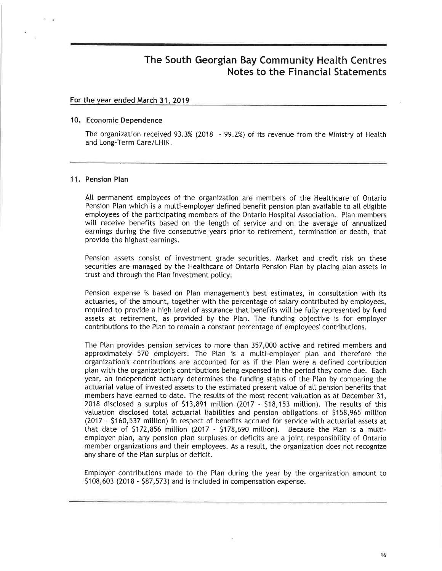#### For the vear ended March 31.2019

#### 10. Economic Dependence

The organization received 93.3% (2018 - 99.2%) of its revenue from the Ministry of Health and Long-Term Care/LHlN.

#### <sup>1</sup>1. Pension Plan

All permanent employees of the organization are members of the Healthcare of Ontario Pension Plan which is a multi-employer defined benefit pension plan available to all eligible employees of the participating members of the Ontario Hospital Association. Plan members witl receive benefits based on the length of service and on the average of annuatized earnings during the five consecutive years prior to retirement, termination or death, that provide the highest earnings.

Pension assets consist of investment grade securities. Market and credit risk on these securities are managed by the Healthcare of Ontario Pension Plan by placing plan assets in trust and through the Plan investment policy.

Pension expense is based on Plan management's best estimates, in consultation with its actuaries, of the amount, together with the percentage of salary contributed by employees, required to provide a high level of assurance that benefits will be fully represented by fund assets at retirement, as provided by the Plan. The funding objective is for emptoyer contributions to the Plan to remain a constant percentage of employees' contributions.

The Plan provides pension services to more than 357,000 active and retired members and approximately 570 employers. The Plan is a multi-employer plan and therefore the organization's contributions are accounted for as if the Ptan were a defined contribution plan with the organization's contributions being expensed in the period they come due. Each year, an independent actuary determines the funding status of the Plan by comparing the actuarial value of invested assets to the estimated present value of all pension benefits that members have earned to date. The resutts of the most recent vatuation as at December 31, 2018 disclosed a surplus of \$13,891 million (2017 - \$18,153 million). The results of this valuation disclosed total actuarial liabilities and pension obligations of \$158,965 million (2017 - S160,537 mittion) in respect of benefits accrued for service with actuarial assets at that date of \$172,856 million (2017 - \$178,690 million). Because the Plan is a multiemployer plan, any pension plan surpluses or deficits are a joint responsibility of Ontario member organizations and their employees. As a resutt, the organization does not recognize any share of the Plan surplus or deficit.

Emptoyer contributions made to the Ptan during the year by the organization amount to 5108,603 (2018 - S87,573) and is included in compensation expense.